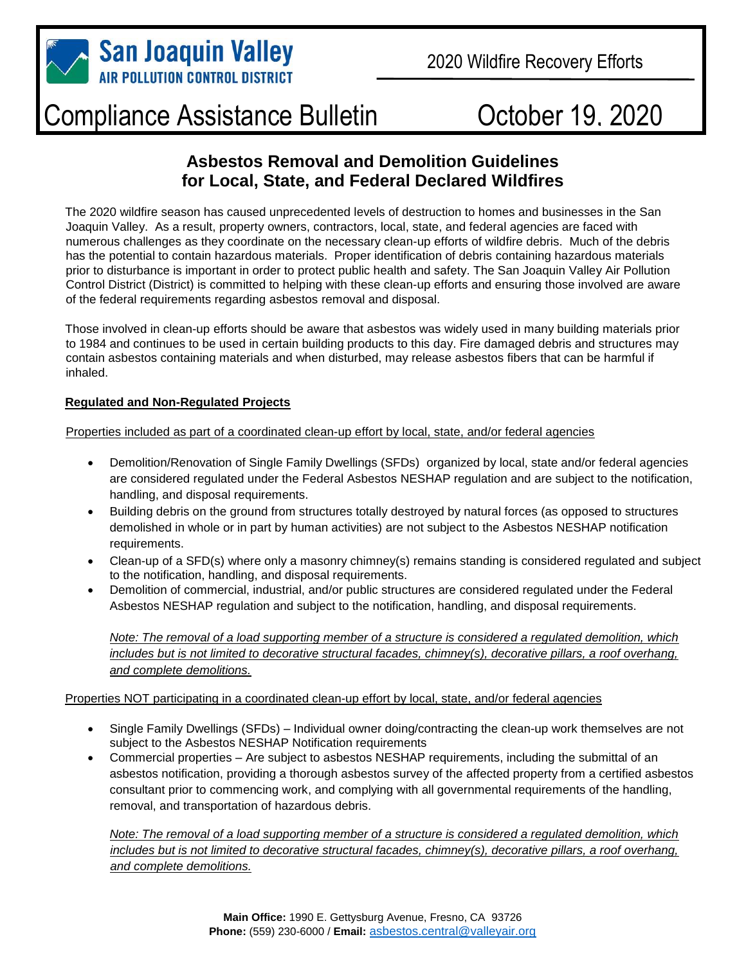

## Compliance Assistance Bulletin

# October 19, 2020

### **Asbestos Removal and Demolition Guidelines for Local, State, and Federal Declared Wildfires**

The 2020 wildfire season has caused unprecedented levels of destruction to homes and businesses in the San Joaquin Valley. As a result, property owners, contractors, local, state, and federal agencies are faced with numerous challenges as they coordinate on the necessary clean-up efforts of wildfire debris. Much of the debris has the potential to contain hazardous materials. Proper identification of debris containing hazardous materials prior to disturbance is important in order to protect public health and safety. The San Joaquin Valley Air Pollution Control District (District) is committed to helping with these clean-up efforts and ensuring those involved are aware of the federal requirements regarding asbestos removal and disposal.

Those involved in clean-up efforts should be aware that asbestos was widely used in many building materials prior to 1984 and continues to be used in certain building products to this day. Fire damaged debris and structures may contain asbestos containing materials and when disturbed, may release asbestos fibers that can be harmful if inhaled.

#### **Regulated and Non-Regulated Projects**

Properties included as part of a coordinated clean-up effort by local, state, and/or federal agencies

- Demolition/Renovation of Single Family Dwellings (SFDs) organized by local, state and/or federal agencies are considered regulated under the Federal Asbestos NESHAP regulation and are subject to the notification, handling, and disposal requirements.
- Building debris on the ground from structures totally destroyed by natural forces (as opposed to structures demolished in whole or in part by human activities) are not subject to the Asbestos NESHAP notification requirements.
- Clean-up of a SFD(s) where only a masonry chimney(s) remains standing is considered regulated and subject to the notification, handling, and disposal requirements.
- Demolition of commercial, industrial, and/or public structures are considered regulated under the Federal Asbestos NESHAP regulation and subject to the notification, handling, and disposal requirements.

*Note: The removal of a load supporting member of a structure is considered a regulated demolition, which includes but is not limited to decorative structural facades, chimney(s), decorative pillars, a roof overhang, and complete demolitions.*

#### Properties NOT participating in a coordinated clean-up effort by local, state, and/or federal agencies

- Single Family Dwellings (SFDs) Individual owner doing/contracting the clean-up work themselves are not subject to the Asbestos NESHAP Notification requirements
- Commercial properties Are subject to asbestos NESHAP requirements, including the submittal of an asbestos notification, providing a thorough asbestos survey of the affected property from a certified asbestos consultant prior to commencing work, and complying with all governmental requirements of the handling, removal, and transportation of hazardous debris.

*Note: The removal of a load supporting member of a structure is considered a regulated demolition, which includes but is not limited to decorative structural facades, chimney(s), decorative pillars, a roof overhang, and complete demolitions.*